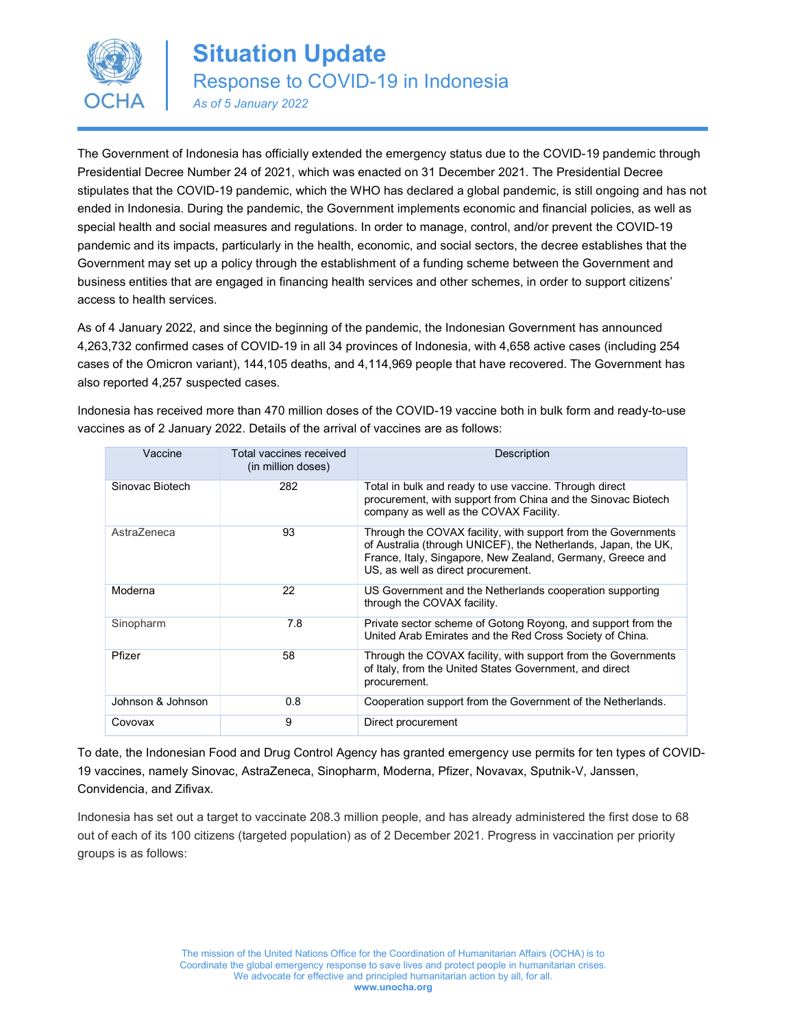

The Government of Indonesia has officially extended the emergency status due to the COVID-19 pandemic through Presidential Decree Number 24 of 2021, which was enacted on 31 December 2021. The Presidential Decree stipulates that the COVID-19 pandemic, which the WHO has declared a global pandemic, is still ongoing and has not ended in Indonesia. During the pandemic, the Government implements economic and financial policies, as well as special health and social measures and regulations. In order to manage, control, and/or prevent the COVID-19 pandemic and its impacts, particularly in the health, economic, and social sectors, the decree establishes that the Government may set up a policy through the establishment of a funding scheme between the Government and business entities that are engaged in financing health services and other schemes, in order to support citizens' access to health services.

As of 4 January 2022, and since the beginning of the pandemic, the Indonesian Government has announced 4,263,732 confirmed cases of COVID-19 in all 34 provinces of Indonesia, with 4,658 active cases (including 254 cases of the Omicron variant), 144,105 deaths, and 4,114,969 people that have recovered. The Government has also reported 4,257 suspected cases.

Indonesia has received more than 470 million doses of the COVID-19 vaccine both in bulk form and ready-to-use vaccines as of 2 January 2022. Details of the arrival of vaccines are as follows:

| Vaccine           | Total vaccines received<br>(in million doses) | <b>Description</b>                                                                                                                                                                                                                  |
|-------------------|-----------------------------------------------|-------------------------------------------------------------------------------------------------------------------------------------------------------------------------------------------------------------------------------------|
| Sinovac Biotech   | 282                                           | Total in bulk and ready to use vaccine. Through direct<br>procurement, with support from China and the Sinovac Biotech<br>company as well as the COVAX Facility.                                                                    |
| AstraZeneca       | 93                                            | Through the COVAX facility, with support from the Governments<br>of Australia (through UNICEF), the Netherlands, Japan, the UK,<br>France, Italy, Singapore, New Zealand, Germany, Greece and<br>US, as well as direct procurement. |
| Moderna           | 22                                            | US Government and the Netherlands cooperation supporting<br>through the COVAX facility.                                                                                                                                             |
| Sinopharm         | 7.8                                           | Private sector scheme of Gotong Royong, and support from the<br>United Arab Emirates and the Red Cross Society of China.                                                                                                            |
| Pfizer            | 58                                            | Through the COVAX facility, with support from the Governments<br>of Italy, from the United States Government, and direct<br>procurement.                                                                                            |
| Johnson & Johnson | 0.8                                           | Cooperation support from the Government of the Netherlands.                                                                                                                                                                         |
| Covovax           | 9                                             | Direct procurement                                                                                                                                                                                                                  |

To date, the Indonesian Food and Drug Control Agency has granted emergency use permits for ten types of COVID-19 vaccines, namely Sinovac, AstraZeneca, Sinopharm, Moderna, Pfizer, Novavax, Sputnik-V, Janssen, Convidencia, and Zifivax.

Indonesia has set out a target to vaccinate 208.3 million people, and has already administered the first dose to 68 out of each of its 100 citizens (targeted population) as of 2 December 2021. Progress in vaccination per priority groups is as follows: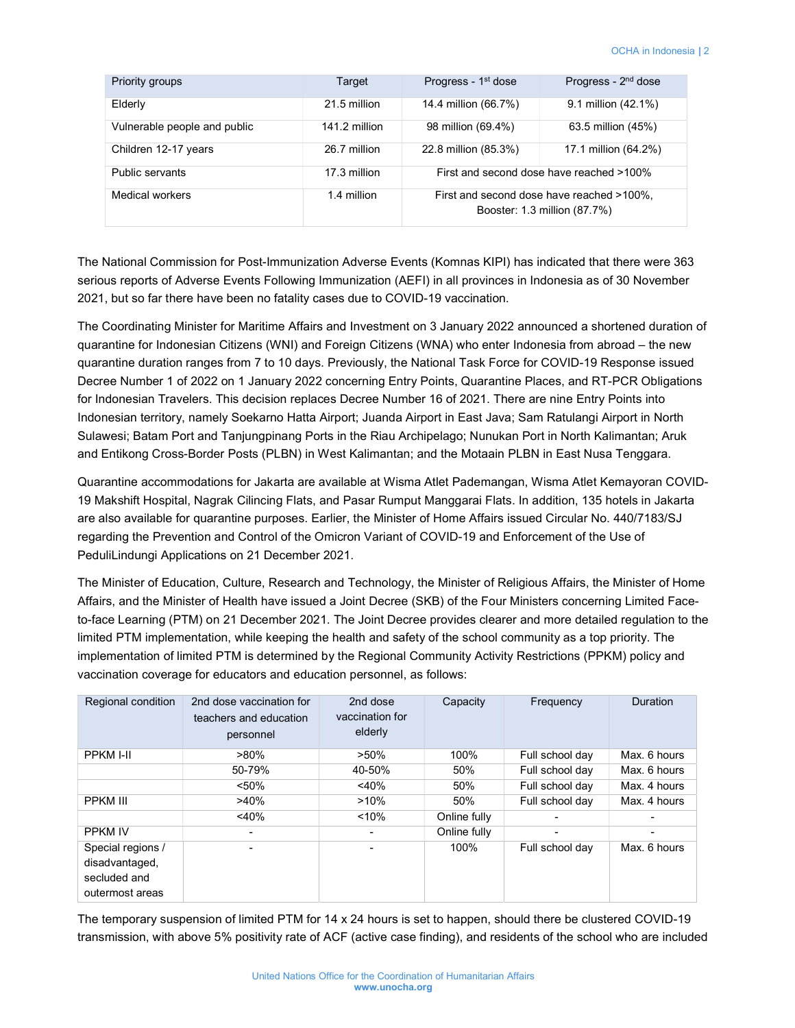| Priority groups              | Progress - 1 <sup>st</sup> dose<br>Target |                                                                           | Progress - 2 <sup>nd</sup> dose |  |
|------------------------------|-------------------------------------------|---------------------------------------------------------------------------|---------------------------------|--|
| Elderly                      | 21.5 million                              | 14.4 million (66.7%)                                                      | 9.1 million (42.1%)             |  |
| Vulnerable people and public | 141.2 million                             | 98 million (69.4%)                                                        | 63.5 million (45%)              |  |
| Children 12-17 years         | 26.7 million                              | 22.8 million (85.3%)                                                      | 17.1 million (64.2%)            |  |
| Public servants              | 17.3 million                              | First and second dose have reached >100%                                  |                                 |  |
| Medical workers              | 1.4 million                               | First and second dose have reached >100%,<br>Booster: 1.3 million (87.7%) |                                 |  |

The National Commission for Post-Immunization Adverse Events (Komnas KIPI) has indicated that there were 363 serious reports of Adverse Events Following Immunization (AEFI) in all provinces in Indonesia as of 30 November 2021, but so far there have been no fatality cases due to COVID-19 vaccination.

The Coordinating Minister for Maritime Affairs and Investment on 3 January 2022 announced a shortened duration of quarantine for Indonesian Citizens (WNI) and Foreign Citizens (WNA) who enter Indonesia from abroad – the new quarantine duration ranges from 7 to 10 days. Previously, the National Task Force for COVID-19 Response issued Decree Number 1 of 2022 on 1 January 2022 concerning Entry Points, Quarantine Places, and RT-PCR Obligations for Indonesian Travelers. This decision replaces Decree Number 16 of 2021. There are nine Entry Points into Indonesian territory, namely Soekarno Hatta Airport; Juanda Airport in East Java; Sam Ratulangi Airport in North Sulawesi; Batam Port and Tanjungpinang Ports in the Riau Archipelago; Nunukan Port in North Kalimantan; Aruk and Entikong Cross-Border Posts (PLBN) in West Kalimantan; and the Motaain PLBN in East Nusa Tenggara.

Quarantine accommodations for Jakarta are available at Wisma Atlet Pademangan, Wisma Atlet Kemayoran COVID-19 Makshift Hospital, Nagrak Cilincing Flats, and Pasar Rumput Manggarai Flats. In addition, 135 hotels in Jakarta are also available for quarantine purposes. Earlier, the Minister of Home Affairs issued Circular No. 440/7183/SJ regarding the Prevention and Control of the Omicron Variant of COVID-19 and Enforcement of the Use of PeduliLindungi Applications on 21 December 2021.

The Minister of Education, Culture, Research and Technology, the Minister of Religious Affairs, the Minister of Home Affairs, and the Minister of Health have issued a Joint Decree (SKB) of the Four Ministers concerning Limited Faceto-face Learning (PTM) on 21 December 2021. The Joint Decree provides clearer and more detailed regulation to the limited PTM implementation, while keeping the health and safety of the school community as a top priority. The implementation of limited PTM is determined by the Regional Community Activity Restrictions (PPKM) policy and vaccination coverage for educators and education personnel, as follows:

| Regional condition | 2nd dose vaccination for<br>teachers and education<br>personnel | 2nd dose<br>vaccination for<br>elderly | Capacity     | Frequency       | <b>Duration</b> |
|--------------------|-----------------------------------------------------------------|----------------------------------------|--------------|-----------------|-----------------|
| <b>PPKM I-II</b>   | $>80\%$                                                         | $>50\%$                                | 100%         | Full school day | Max. 6 hours    |
|                    | 50-79%                                                          | 40-50%                                 | 50%          | Full school day | Max. 6 hours    |
|                    | $< 50\%$                                                        | $<$ 40%                                | 50%          | Full school day | Max. 4 hours    |
| <b>PPKM III</b>    | $>40\%$                                                         | $>10\%$                                | 50%          | Full school day | Max. 4 hours    |
|                    | $~40\%$                                                         | < 10%                                  | Online fully |                 |                 |
| <b>PPKM IV</b>     |                                                                 |                                        | Online fully |                 |                 |
| Special regions /  |                                                                 |                                        | 100%         | Full school day | Max. 6 hours    |
| disadvantaged,     |                                                                 |                                        |              |                 |                 |
| secluded and       |                                                                 |                                        |              |                 |                 |
| outermost areas    |                                                                 |                                        |              |                 |                 |

The temporary suspension of limited PTM for 14 x 24 hours is set to happen, should there be clustered COVID-19 transmission, with above 5% positivity rate of ACF (active case finding), and residents of the school who are included